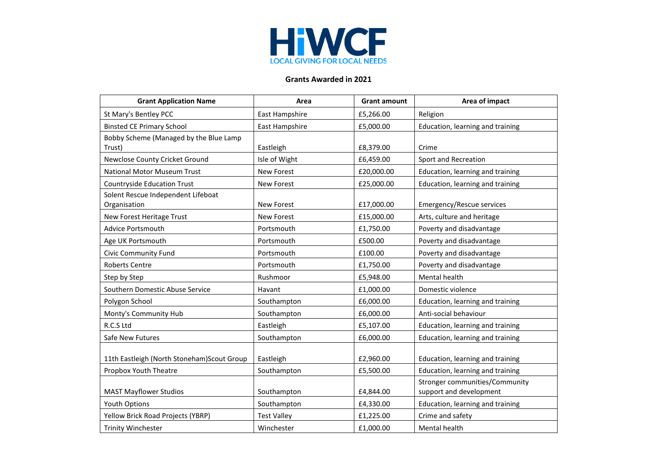

## **Grants Awarded in 2021**

| <b>Grant Application Name</b>                      | Area               | <b>Grant amount</b> | Area of impact                                            |
|----------------------------------------------------|--------------------|---------------------|-----------------------------------------------------------|
| St Mary's Bentley PCC                              | East Hampshire     | £5,266.00           | Religion                                                  |
| <b>Binsted CE Primary School</b>                   | East Hampshire     | £5,000.00           | Education, learning and training                          |
| Bobby Scheme (Managed by the Blue Lamp<br>Trust)   | Eastleigh          | £8,379.00           | Crime                                                     |
| Newclose County Cricket Ground                     | Isle of Wight      | £6,459.00           | Sport and Recreation                                      |
| National Motor Museum Trust                        | New Forest         | £20,000.00          | Education, learning and training                          |
| <b>Countryside Education Trust</b>                 | New Forest         | £25,000.00          | Education, learning and training                          |
| Solent Rescue Independent Lifeboat<br>Organisation | <b>New Forest</b>  | £17,000.00          | Emergency/Rescue services                                 |
| New Forest Heritage Trust                          | <b>New Forest</b>  | £15,000.00          | Arts, culture and heritage                                |
| Advice Portsmouth                                  | Portsmouth         | £1,750.00           | Poverty and disadvantage                                  |
| Age UK Portsmouth                                  | Portsmouth         | £500.00             | Poverty and disadvantage                                  |
| <b>Civic Community Fund</b>                        | Portsmouth         | £100.00             | Poverty and disadvantage                                  |
| Roberts Centre                                     | Portsmouth         | £1,750.00           | Poverty and disadvantage                                  |
| Step by Step                                       | Rushmoor           | £5,948.00           | Mental health                                             |
| Southern Domestic Abuse Service                    | Havant             | £1,000.00           | Domestic violence                                         |
| Polygon School                                     | Southampton        | £6,000.00           | Education, learning and training                          |
| Monty's Community Hub                              | Southampton        | £6,000.00           | Anti-social behaviour                                     |
| R.C.S Ltd                                          | Eastleigh          | £5,107.00           | Education, learning and training                          |
| Safe New Futures                                   | Southampton        | £6,000.00           | Education, learning and training                          |
| 11th Eastleigh (North Stoneham) Scout Group        | Eastleigh          | £2,960.00           | Education, learning and training                          |
| Propbox Youth Theatre                              | Southampton        | £5,500.00           | Education, learning and training                          |
| <b>MAST Mayflower Studios</b>                      | Southampton        | £4,844.00           | Stronger communities/Community<br>support and development |
| Youth Options                                      | Southampton        | £4,330.00           | Education, learning and training                          |
| Yellow Brick Road Projects (YBRP)                  | <b>Test Valley</b> | £1,225.00           | Crime and safety                                          |
| <b>Trinity Winchester</b>                          | Winchester         | £1,000.00           | Mental health                                             |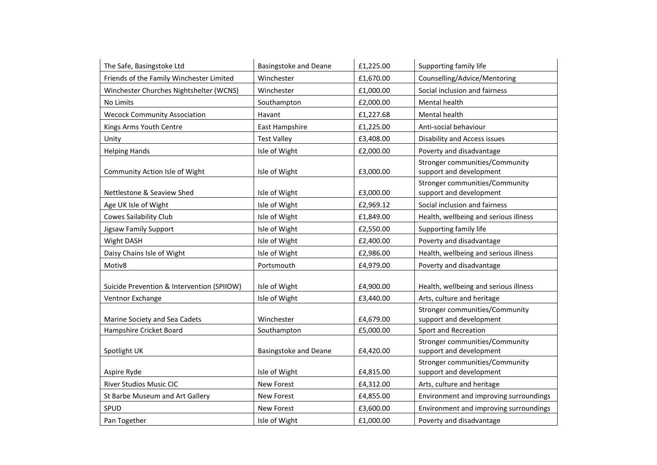| The Safe, Basingstoke Ltd                  | <b>Basingstoke and Deane</b> | £1,225.00 | Supporting family life                                    |
|--------------------------------------------|------------------------------|-----------|-----------------------------------------------------------|
| Friends of the Family Winchester Limited   | Winchester                   | £1,670.00 | Counselling/Advice/Mentoring                              |
| Winchester Churches Nightshelter (WCNS)    | Winchester                   | £1,000.00 | Social inclusion and fairness                             |
| No Limits                                  | Southampton                  | £2,000.00 | Mental health                                             |
| <b>Wecock Community Association</b>        | Havant                       | £1,227.68 | Mental health                                             |
| Kings Arms Youth Centre                    | East Hampshire               | £1,225.00 | Anti-social behaviour                                     |
| Unity                                      | <b>Test Valley</b>           | £3,408.00 | <b>Disability and Access issues</b>                       |
| <b>Helping Hands</b>                       | Isle of Wight                | £2,000.00 | Poverty and disadvantage                                  |
| Community Action Isle of Wight             | Isle of Wight                | £3,000.00 | Stronger communities/Community<br>support and development |
| Nettlestone & Seaview Shed                 | Isle of Wight                | £3,000.00 | Stronger communities/Community<br>support and development |
| Age UK Isle of Wight                       | Isle of Wight                | £2,969.12 | Social inclusion and fairness                             |
| <b>Cowes Sailability Club</b>              | Isle of Wight                | £1,849.00 | Health, wellbeing and serious illness                     |
| Jigsaw Family Support                      | Isle of Wight                | £2,550.00 | Supporting family life                                    |
| Wight DASH                                 | Isle of Wight                | £2,400.00 | Poverty and disadvantage                                  |
| Daisy Chains Isle of Wight                 | Isle of Wight                | £2,986.00 | Health, wellbeing and serious illness                     |
| Motiv8                                     | Portsmouth                   | £4,979.00 | Poverty and disadvantage                                  |
| Suicide Prevention & Intervention (SPIIOW) | Isle of Wight                | £4,900.00 | Health, wellbeing and serious illness                     |
| Ventnor Exchange                           | Isle of Wight                | £3,440.00 | Arts, culture and heritage                                |
| Marine Society and Sea Cadets              | Winchester                   | £4,679.00 | Stronger communities/Community<br>support and development |
| Hampshire Cricket Board                    | Southampton                  | £5,000.00 | Sport and Recreation                                      |
| Spotlight UK                               | Basingstoke and Deane        | £4,420.00 | Stronger communities/Community<br>support and development |
| Aspire Ryde                                | Isle of Wight                | £4,815.00 | Stronger communities/Community<br>support and development |
| <b>River Studios Music CIC</b>             | <b>New Forest</b>            | £4,312.00 | Arts, culture and heritage                                |
| St Barbe Museum and Art Gallery            | <b>New Forest</b>            | £4,855.00 | Environment and improving surroundings                    |
| SPUD                                       | New Forest                   | £3,600.00 | Environment and improving surroundings                    |
| Pan Together                               | Isle of Wight                | £1,000.00 | Poverty and disadvantage                                  |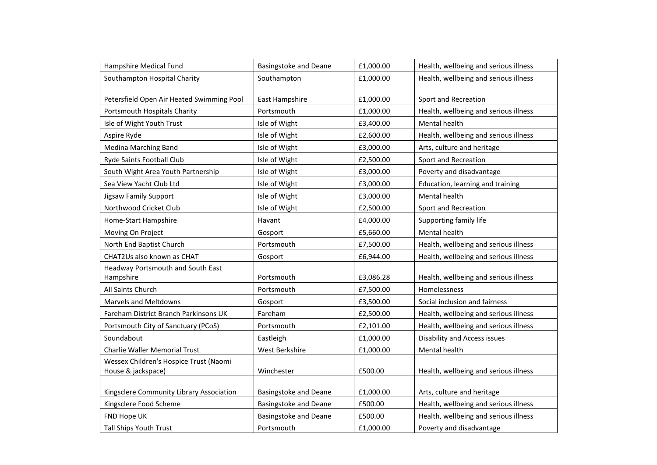| Hampshire Medical Fund                    | <b>Basingstoke and Deane</b> | £1,000.00 | Health, wellbeing and serious illness |
|-------------------------------------------|------------------------------|-----------|---------------------------------------|
| Southampton Hospital Charity              | Southampton                  | £1,000.00 | Health, wellbeing and serious illness |
|                                           |                              |           |                                       |
| Petersfield Open Air Heated Swimming Pool | East Hampshire               | £1,000.00 | Sport and Recreation                  |
| Portsmouth Hospitals Charity              | Portsmouth                   | £1,000.00 | Health, wellbeing and serious illness |
| Isle of Wight Youth Trust                 | Isle of Wight                | £3,400.00 | Mental health                         |
| Aspire Ryde                               | Isle of Wight                | £2,600.00 | Health, wellbeing and serious illness |
| Medina Marching Band                      | Isle of Wight                | £3,000.00 | Arts, culture and heritage            |
| Ryde Saints Football Club                 | Isle of Wight                | £2,500.00 | Sport and Recreation                  |
| South Wight Area Youth Partnership        | Isle of Wight                | £3,000.00 | Poverty and disadvantage              |
| Sea View Yacht Club Ltd                   | Isle of Wight                | £3,000.00 | Education, learning and training      |
| Jigsaw Family Support                     | Isle of Wight                | £3,000.00 | Mental health                         |
| Northwood Cricket Club                    | Isle of Wight                | £2,500.00 | Sport and Recreation                  |
| Home-Start Hampshire                      | Havant                       | £4,000.00 | Supporting family life                |
| Moving On Project                         | Gosport                      | £5,660.00 | Mental health                         |
| North End Baptist Church                  | Portsmouth                   | £7,500.00 | Health, wellbeing and serious illness |
| CHAT2Us also known as CHAT                | Gosport                      | £6,944.00 | Health, wellbeing and serious illness |
| Headway Portsmouth and South East         |                              |           |                                       |
| Hampshire                                 | Portsmouth                   | £3,086.28 | Health, wellbeing and serious illness |
| All Saints Church                         | Portsmouth                   | £7,500.00 | Homelessness                          |
| Marvels and Meltdowns                     | Gosport                      | £3,500.00 | Social inclusion and fairness         |
| Fareham District Branch Parkinsons UK     | Fareham                      | £2,500.00 | Health, wellbeing and serious illness |
| Portsmouth City of Sanctuary (PCoS)       | Portsmouth                   | £2,101.00 | Health, wellbeing and serious illness |
| Soundabout                                | Eastleigh                    | £1,000.00 | Disability and Access issues          |
| <b>Charlie Waller Memorial Trust</b>      | West Berkshire               | £1,000.00 | Mental health                         |
| Wessex Children's Hospice Trust (Naomi    |                              |           |                                       |
| House & jackspace)                        | Winchester                   | £500.00   | Health, wellbeing and serious illness |
|                                           |                              |           |                                       |
| Kingsclere Community Library Association  | Basingstoke and Deane        | £1,000.00 | Arts, culture and heritage            |
| Kingsclere Food Scheme                    | <b>Basingstoke and Deane</b> | £500.00   | Health, wellbeing and serious illness |
| FND Hope UK                               | <b>Basingstoke and Deane</b> | £500.00   | Health, wellbeing and serious illness |
| Tall Ships Youth Trust                    | Portsmouth                   | £1,000.00 | Poverty and disadvantage              |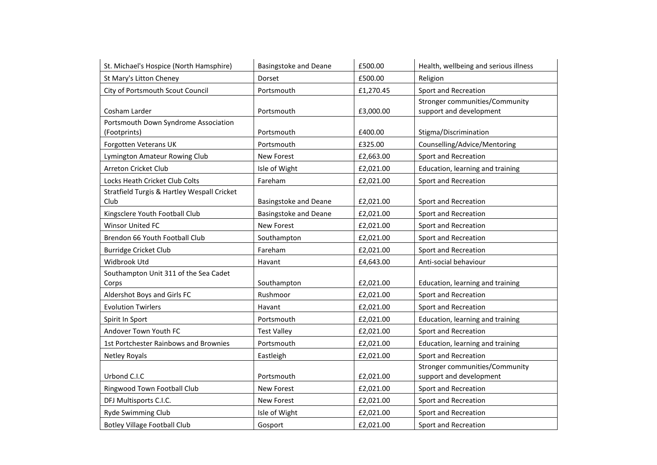| St. Michael's Hospice (North Hamsphire)              | <b>Basingstoke and Deane</b> | £500.00   | Health, wellbeing and serious illness                     |
|------------------------------------------------------|------------------------------|-----------|-----------------------------------------------------------|
| St Mary's Litton Cheney                              | Dorset                       | £500.00   | Religion                                                  |
| City of Portsmouth Scout Council                     | Portsmouth                   | £1,270.45 | Sport and Recreation                                      |
| Cosham Larder                                        | Portsmouth                   | £3,000.00 | Stronger communities/Community<br>support and development |
| Portsmouth Down Syndrome Association<br>(Footprints) | Portsmouth                   | £400.00   | Stigma/Discrimination                                     |
| <b>Forgotten Veterans UK</b>                         | Portsmouth                   | £325.00   | Counselling/Advice/Mentoring                              |
| Lymington Amateur Rowing Club                        | <b>New Forest</b>            | £2,663.00 | Sport and Recreation                                      |
| Arreton Cricket Club                                 | Isle of Wight                | £2,021.00 | Education, learning and training                          |
| Locks Heath Cricket Club Colts                       | Fareham                      | £2,021.00 | Sport and Recreation                                      |
| Stratfield Turgis & Hartley Wespall Cricket<br>Club  | Basingstoke and Deane        | £2,021.00 | Sport and Recreation                                      |
| Kingsclere Youth Football Club                       | <b>Basingstoke and Deane</b> | £2,021.00 | Sport and Recreation                                      |
| Winsor United FC                                     | New Forest                   | £2,021.00 | Sport and Recreation                                      |
| Brendon 66 Youth Football Club                       | Southampton                  | £2,021.00 | Sport and Recreation                                      |
| <b>Burridge Cricket Club</b>                         | Fareham                      | £2,021.00 | Sport and Recreation                                      |
| Widbrook Utd                                         | Havant                       | £4,643.00 | Anti-social behaviour                                     |
| Southampton Unit 311 of the Sea Cadet<br>Corps       | Southampton                  | £2,021.00 | Education, learning and training                          |
| Aldershot Boys and Girls FC                          | Rushmoor                     | £2,021.00 | Sport and Recreation                                      |
| <b>Evolution Twirlers</b>                            | Havant                       | £2,021.00 | Sport and Recreation                                      |
| Spirit In Sport                                      | Portsmouth                   | £2,021.00 | Education, learning and training                          |
| Andover Town Youth FC                                | <b>Test Valley</b>           | £2,021.00 | Sport and Recreation                                      |
| 1st Portchester Rainbows and Brownies                | Portsmouth                   | £2,021.00 | Education, learning and training                          |
| <b>Netley Royals</b>                                 | Eastleigh                    | £2,021.00 | Sport and Recreation                                      |
| Urbond C.I.C                                         | Portsmouth                   | £2,021.00 | Stronger communities/Community<br>support and development |
| Ringwood Town Football Club                          | New Forest                   | £2,021.00 | Sport and Recreation                                      |
| DFJ Multisports C.I.C.                               | New Forest                   | £2,021.00 | Sport and Recreation                                      |
| Ryde Swimming Club                                   | Isle of Wight                | £2,021.00 | Sport and Recreation                                      |
| <b>Botley Village Football Club</b>                  | Gosport                      | £2,021.00 | Sport and Recreation                                      |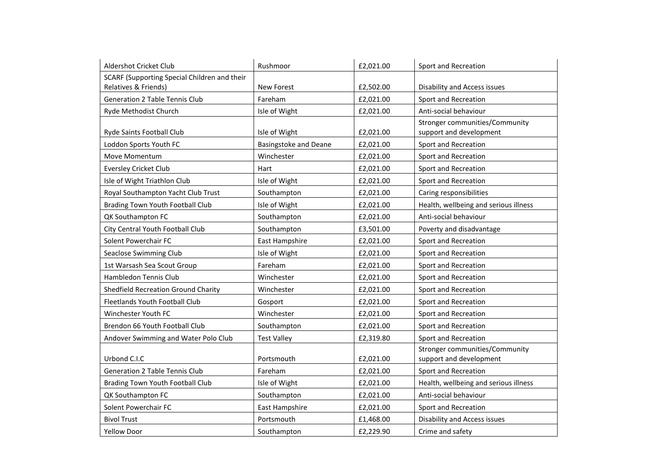| Aldershot Cricket Club                       | Rushmoor                     | £2,021.00 | Sport and Recreation                  |
|----------------------------------------------|------------------------------|-----------|---------------------------------------|
| SCARF (Supporting Special Children and their |                              |           |                                       |
| Relatives & Friends)                         | New Forest                   | £2,502.00 | Disability and Access issues          |
| <b>Generation 2 Table Tennis Club</b>        | Fareham                      | £2,021.00 | Sport and Recreation                  |
| Ryde Methodist Church                        | Isle of Wight                | £2,021.00 | Anti-social behaviour                 |
|                                              |                              |           | Stronger communities/Community        |
| Ryde Saints Football Club                    | Isle of Wight                | £2,021.00 | support and development               |
| Loddon Sports Youth FC                       | <b>Basingstoke and Deane</b> | £2,021.00 | Sport and Recreation                  |
| Move Momentum                                | Winchester                   | £2,021.00 | Sport and Recreation                  |
| <b>Eversley Cricket Club</b>                 | Hart                         | £2,021.00 | Sport and Recreation                  |
| Isle of Wight Triathlon Club                 | Isle of Wight                | £2,021.00 | Sport and Recreation                  |
| Royal Southampton Yacht Club Trust           | Southampton                  | £2,021.00 | Caring responsibilities               |
| Brading Town Youth Football Club             | Isle of Wight                | £2,021.00 | Health, wellbeing and serious illness |
| QK Southampton FC                            | Southampton                  | £2,021.00 | Anti-social behaviour                 |
| City Central Youth Football Club             | Southampton                  | £3,501.00 | Poverty and disadvantage              |
| Solent Powerchair FC                         | East Hampshire               | £2,021.00 | Sport and Recreation                  |
| Seaclose Swimming Club                       | Isle of Wight                | £2,021.00 | Sport and Recreation                  |
| 1st Warsash Sea Scout Group                  | Fareham                      | £2,021.00 | Sport and Recreation                  |
| Hambledon Tennis Club                        | Winchester                   | £2,021.00 | Sport and Recreation                  |
| Shedfield Recreation Ground Charity          | Winchester                   | £2,021.00 | Sport and Recreation                  |
| Fleetlands Youth Football Club               | Gosport                      | £2,021.00 | Sport and Recreation                  |
| Winchester Youth FC                          | Winchester                   | £2,021.00 | Sport and Recreation                  |
| Brendon 66 Youth Football Club               | Southampton                  | £2,021.00 | Sport and Recreation                  |
| Andover Swimming and Water Polo Club         | <b>Test Valley</b>           | £2,319.80 | Sport and Recreation                  |
|                                              |                              |           | Stronger communities/Community        |
| Urbond C.I.C                                 | Portsmouth                   | £2,021.00 | support and development               |
| <b>Generation 2 Table Tennis Club</b>        | Fareham                      | £2,021.00 | Sport and Recreation                  |
| Brading Town Youth Football Club             | Isle of Wight                | £2,021.00 | Health, wellbeing and serious illness |
| QK Southampton FC                            | Southampton                  | £2,021.00 | Anti-social behaviour                 |
| Solent Powerchair FC                         | East Hampshire               | £2,021.00 | Sport and Recreation                  |
| <b>Bivol Trust</b>                           | Portsmouth                   | £1,468.00 | Disability and Access issues          |
| <b>Yellow Door</b>                           | Southampton                  | £2,229.90 | Crime and safety                      |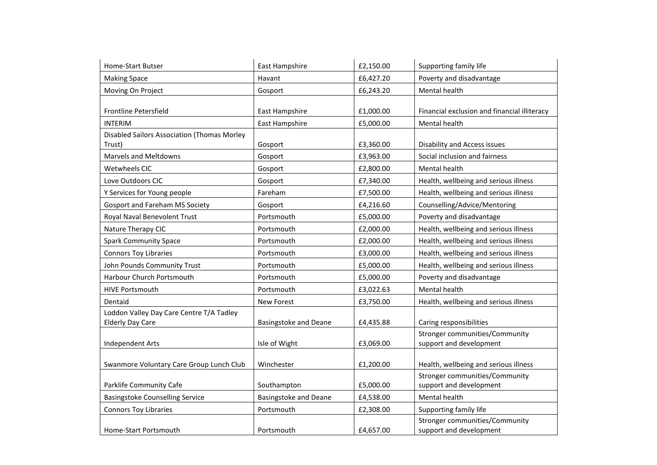| Home-Start Butser                           | East Hampshire               | £2,150.00 | Supporting family life                                    |
|---------------------------------------------|------------------------------|-----------|-----------------------------------------------------------|
| <b>Making Space</b>                         | Havant                       | £6,427.20 | Poverty and disadvantage                                  |
| Moving On Project                           | Gosport                      | £6,243.20 | Mental health                                             |
|                                             |                              |           |                                                           |
| Frontline Petersfield                       | East Hampshire               | £1,000.00 | Financial exclusion and financial illiteracy              |
| <b>INTERIM</b>                              | East Hampshire               | £5,000.00 | Mental health                                             |
| Disabled Sailors Association (Thomas Morley |                              |           |                                                           |
| Trust)                                      | Gosport                      | £3,360.00 | Disability and Access issues                              |
| Marvels and Meltdowns                       | Gosport                      | £3,963.00 | Social inclusion and fairness                             |
| Wetwheels CIC                               | Gosport                      | £2,800.00 | Mental health                                             |
| Love Outdoors CIC                           | Gosport                      | £7,340.00 | Health, wellbeing and serious illness                     |
| Y Services for Young people                 | Fareham                      | £7,500.00 | Health, wellbeing and serious illness                     |
| <b>Gosport and Fareham MS Society</b>       | Gosport                      | £4,216.60 | Counselling/Advice/Mentoring                              |
| Royal Naval Benevolent Trust                | Portsmouth                   | £5,000.00 | Poverty and disadvantage                                  |
| Nature Therapy CIC                          | Portsmouth                   | £2,000.00 | Health, wellbeing and serious illness                     |
| <b>Spark Community Space</b>                | Portsmouth                   | £2,000.00 | Health, wellbeing and serious illness                     |
| <b>Connors Toy Libraries</b>                | Portsmouth                   | £3,000.00 | Health, wellbeing and serious illness                     |
| John Pounds Community Trust                 | Portsmouth                   | £5,000.00 | Health, wellbeing and serious illness                     |
| Harbour Church Portsmouth                   | Portsmouth                   | £5,000.00 | Poverty and disadvantage                                  |
| <b>HIVE Portsmouth</b>                      | Portsmouth                   | £3,022.63 | Mental health                                             |
| Dentaid                                     | New Forest                   | £3,750.00 | Health, wellbeing and serious illness                     |
| Loddon Valley Day Care Centre T/A Tadley    |                              |           |                                                           |
| <b>Elderly Day Care</b>                     | Basingstoke and Deane        | £4,435.88 | Caring responsibilities                                   |
|                                             |                              |           | Stronger communities/Community                            |
| <b>Independent Arts</b>                     | Isle of Wight                | £3,069.00 | support and development                                   |
|                                             |                              |           |                                                           |
| Swanmore Voluntary Care Group Lunch Club    | Winchester                   | £1,200.00 | Health, wellbeing and serious illness                     |
|                                             |                              |           | Stronger communities/Community                            |
| Parklife Community Cafe                     | Southampton                  | £5,000.00 | support and development                                   |
| <b>Basingstoke Counselling Service</b>      | <b>Basingstoke and Deane</b> | £4,538.00 | Mental health                                             |
| <b>Connors Toy Libraries</b>                | Portsmouth                   | £2,308.00 | Supporting family life                                    |
| Home-Start Portsmouth                       |                              |           | Stronger communities/Community<br>support and development |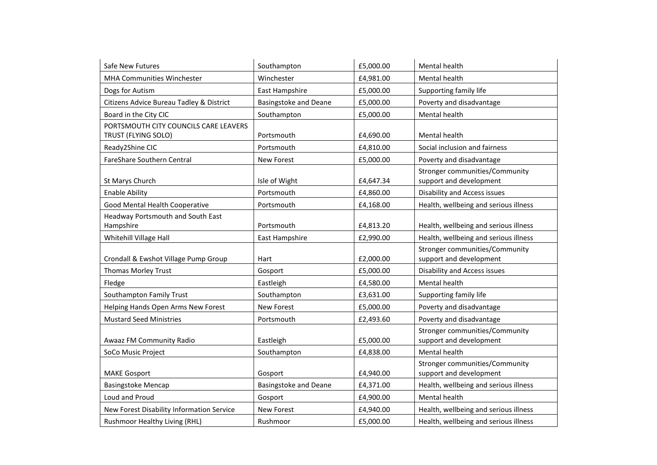| Safe New Futures                                             | Southampton                  | £5,000.00 | Mental health                                             |
|--------------------------------------------------------------|------------------------------|-----------|-----------------------------------------------------------|
| MHA Communities Winchester                                   | Winchester                   | £4,981.00 | Mental health                                             |
| Dogs for Autism                                              | East Hampshire               | £5,000.00 | Supporting family life                                    |
| Citizens Advice Bureau Tadley & District                     | <b>Basingstoke and Deane</b> | £5,000.00 | Poverty and disadvantage                                  |
| Board in the City CIC                                        | Southampton                  | £5,000.00 | Mental health                                             |
| PORTSMOUTH CITY COUNCILS CARE LEAVERS<br>TRUST (FLYING SOLO) | Portsmouth                   | £4,690.00 | Mental health                                             |
| Ready2Shine CIC                                              | Portsmouth                   | £4,810.00 | Social inclusion and fairness                             |
| FareShare Southern Central                                   | <b>New Forest</b>            | £5,000.00 | Poverty and disadvantage                                  |
| St Marys Church                                              | Isle of Wight                | £4,647.34 | Stronger communities/Community<br>support and development |
| <b>Enable Ability</b>                                        | Portsmouth                   | £4,860.00 | <b>Disability and Access issues</b>                       |
| Good Mental Health Cooperative                               | Portsmouth                   | £4,168.00 | Health, wellbeing and serious illness                     |
| Headway Portsmouth and South East<br>Hampshire               | Portsmouth                   | £4,813.20 | Health, wellbeing and serious illness                     |
| Whitehill Village Hall                                       | East Hampshire               | £2,990.00 | Health, wellbeing and serious illness                     |
| Crondall & Ewshot Village Pump Group                         | Hart                         | £2,000.00 | Stronger communities/Community<br>support and development |
| Thomas Morley Trust                                          | Gosport                      | £5,000.00 | <b>Disability and Access issues</b>                       |
| Fledge                                                       | Eastleigh                    | £4,580.00 | Mental health                                             |
| Southampton Family Trust                                     | Southampton                  | £3,631.00 | Supporting family life                                    |
| Helping Hands Open Arms New Forest                           | New Forest                   | £5,000.00 | Poverty and disadvantage                                  |
| <b>Mustard Seed Ministries</b>                               | Portsmouth                   | £2,493.60 | Poverty and disadvantage                                  |
| Awaaz FM Community Radio                                     | Eastleigh                    | £5,000.00 | Stronger communities/Community<br>support and development |
| SoCo Music Project                                           | Southampton                  | £4,838.00 | Mental health                                             |
| <b>MAKE Gosport</b>                                          | Gosport                      | £4,940.00 | Stronger communities/Community<br>support and development |
| <b>Basingstoke Mencap</b>                                    | <b>Basingstoke and Deane</b> | £4,371.00 | Health, wellbeing and serious illness                     |
| Loud and Proud                                               | Gosport                      | £4,900.00 | Mental health                                             |
| New Forest Disability Information Service                    | <b>New Forest</b>            | £4,940.00 | Health, wellbeing and serious illness                     |
| Rushmoor Healthy Living (RHL)                                | Rushmoor                     | £5,000.00 | Health, wellbeing and serious illness                     |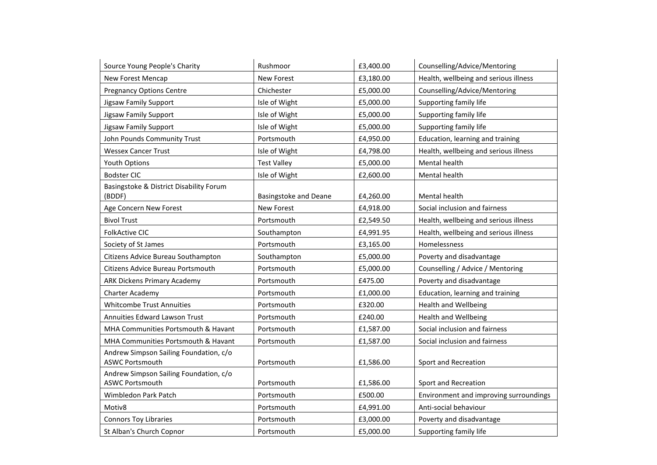| Source Young People's Charity                                    | Rushmoor                     | £3,400.00 | Counselling/Advice/Mentoring           |
|------------------------------------------------------------------|------------------------------|-----------|----------------------------------------|
| <b>New Forest Mencap</b>                                         | New Forest                   | £3,180.00 | Health, wellbeing and serious illness  |
| <b>Pregnancy Options Centre</b>                                  | Chichester                   | £5,000.00 | Counselling/Advice/Mentoring           |
| Jigsaw Family Support                                            | Isle of Wight                | £5,000.00 | Supporting family life                 |
| Jigsaw Family Support                                            | Isle of Wight                | £5,000.00 | Supporting family life                 |
| Jigsaw Family Support                                            | Isle of Wight                | £5,000.00 | Supporting family life                 |
| John Pounds Community Trust                                      | Portsmouth                   | £4,950.00 | Education, learning and training       |
| <b>Wessex Cancer Trust</b>                                       | Isle of Wight                | £4,798.00 | Health, wellbeing and serious illness  |
| Youth Options                                                    | <b>Test Valley</b>           | £5,000.00 | Mental health                          |
| <b>Bodster CIC</b>                                               | Isle of Wight                | £2,600.00 | Mental health                          |
| Basingstoke & District Disability Forum<br>(BDDF)                | <b>Basingstoke and Deane</b> | £4,260.00 | Mental health                          |
| Age Concern New Forest                                           | New Forest                   | £4,918.00 | Social inclusion and fairness          |
| <b>Bivol Trust</b>                                               | Portsmouth                   | £2,549.50 | Health, wellbeing and serious illness  |
| <b>FolkActive CIC</b>                                            | Southampton                  | £4,991.95 | Health, wellbeing and serious illness  |
| Society of St James                                              | Portsmouth                   | £3,165.00 | Homelessness                           |
| Citizens Advice Bureau Southampton                               | Southampton                  | £5,000.00 | Poverty and disadvantage               |
| Citizens Advice Bureau Portsmouth                                | Portsmouth                   | £5,000.00 | Counselling / Advice / Mentoring       |
| <b>ARK Dickens Primary Academy</b>                               | Portsmouth                   | £475.00   | Poverty and disadvantage               |
| Charter Academy                                                  | Portsmouth                   | £1,000.00 | Education, learning and training       |
| <b>Whitcombe Trust Annuities</b>                                 | Portsmouth                   | £320.00   | <b>Health and Wellbeing</b>            |
| Annuities Edward Lawson Trust                                    | Portsmouth                   | £240.00   | <b>Health and Wellbeing</b>            |
| MHA Communities Portsmouth & Havant                              | Portsmouth                   | £1,587.00 | Social inclusion and fairness          |
| MHA Communities Portsmouth & Havant                              | Portsmouth                   | £1,587.00 | Social inclusion and fairness          |
| Andrew Simpson Sailing Foundation, c/o<br><b>ASWC Portsmouth</b> | Portsmouth                   | £1,586.00 | Sport and Recreation                   |
| Andrew Simpson Sailing Foundation, c/o<br><b>ASWC Portsmouth</b> | Portsmouth                   | £1,586.00 | Sport and Recreation                   |
| Wimbledon Park Patch                                             | Portsmouth                   | £500.00   | Environment and improving surroundings |
| Motiv8                                                           | Portsmouth                   | £4,991.00 | Anti-social behaviour                  |
| <b>Connors Toy Libraries</b>                                     | Portsmouth                   | £3,000.00 | Poverty and disadvantage               |
| St Alban's Church Copnor                                         | Portsmouth                   | £5,000.00 | Supporting family life                 |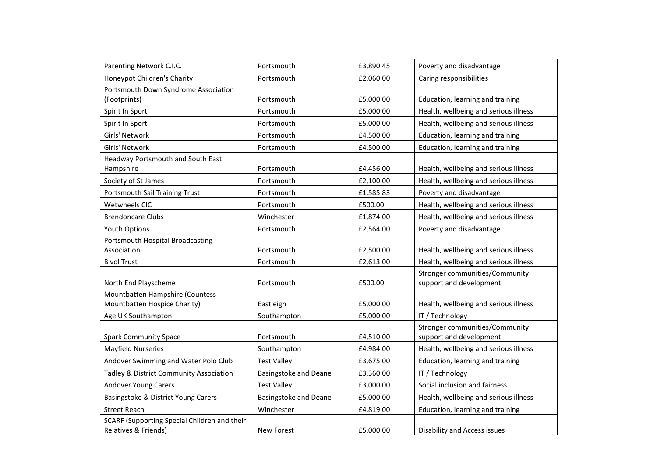| Parenting Network C.I.C.                     | Portsmouth                   | £3,890.45 | Poverty and disadvantage              |
|----------------------------------------------|------------------------------|-----------|---------------------------------------|
| Honeypot Children's Charity                  | Portsmouth                   | £2,060.00 | Caring responsibilities               |
| Portsmouth Down Syndrome Association         |                              |           |                                       |
| (Footprints)                                 | Portsmouth                   | £5,000.00 | Education, learning and training      |
| Spirit In Sport                              | Portsmouth                   | £5,000.00 | Health, wellbeing and serious illness |
| Spirit In Sport                              | Portsmouth                   | £5,000.00 | Health, wellbeing and serious illness |
| Girls' Network                               | Portsmouth                   | £4,500.00 | Education, learning and training      |
| Girls' Network                               | Portsmouth                   | £4,500.00 | Education, learning and training      |
| Headway Portsmouth and South East            |                              |           |                                       |
| Hampshire                                    | Portsmouth                   | £4,456.00 | Health, wellbeing and serious illness |
| Society of St James                          | Portsmouth                   | £2,100.00 | Health, wellbeing and serious illness |
| Portsmouth Sail Training Trust               | Portsmouth                   | £1,585.83 | Poverty and disadvantage              |
| Wetwheels CIC                                | Portsmouth                   | £500.00   | Health, wellbeing and serious illness |
| <b>Brendoncare Clubs</b>                     | Winchester                   | £1,874.00 | Health, wellbeing and serious illness |
| Youth Options                                | Portsmouth                   | £2,564.00 | Poverty and disadvantage              |
| Portsmouth Hospital Broadcasting             |                              |           |                                       |
| Association                                  | Portsmouth                   | £2,500.00 | Health, wellbeing and serious illness |
| <b>Bivol Trust</b>                           | Portsmouth                   | £2,613.00 | Health, wellbeing and serious illness |
|                                              |                              |           | Stronger communities/Community        |
| North End Playscheme                         | Portsmouth                   | £500.00   | support and development               |
| Mountbatten Hampshire (Countess              |                              |           |                                       |
| Mountbatten Hospice Charity)                 | Eastleigh                    | £5,000.00 | Health, wellbeing and serious illness |
| Age UK Southampton                           | Southampton                  | £5,000.00 | IT / Technology                       |
|                                              |                              |           | Stronger communities/Community        |
| <b>Spark Community Space</b>                 | Portsmouth                   | £4,510.00 | support and development               |
| <b>Mayfield Nurseries</b>                    | Southampton                  | £4,984.00 | Health, wellbeing and serious illness |
| Andover Swimming and Water Polo Club         | <b>Test Valley</b>           | £3,675.00 | Education, learning and training      |
| Tadley & District Community Association      | <b>Basingstoke and Deane</b> | £3,360.00 | IT / Technology                       |
| <b>Andover Young Carers</b>                  | <b>Test Valley</b>           | £3,000.00 | Social inclusion and fairness         |
| Basingstoke & District Young Carers          | <b>Basingstoke and Deane</b> | £5,000.00 | Health, wellbeing and serious illness |
| <b>Street Reach</b>                          | Winchester                   | £4,819.00 | Education, learning and training      |
| SCARF (Supporting Special Children and their |                              |           |                                       |
| Relatives & Friends)                         | <b>New Forest</b>            | £5,000.00 | Disability and Access issues          |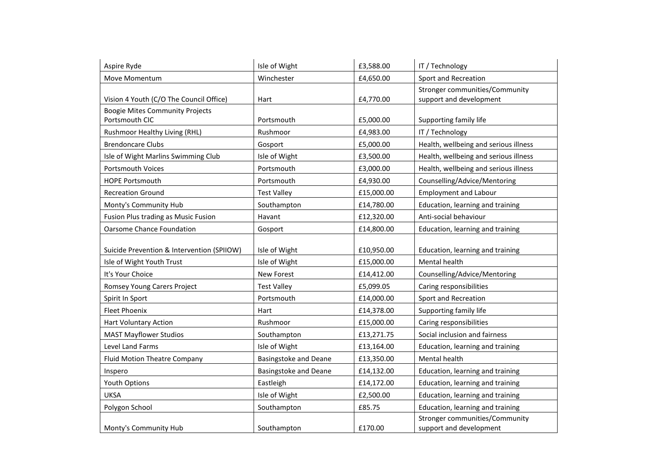| Aspire Ryde                                | Isle of Wight                | £3,588.00  | IT / Technology                                                  |
|--------------------------------------------|------------------------------|------------|------------------------------------------------------------------|
| Move Momentum                              | Winchester                   | £4,650.00  | Sport and Recreation                                             |
| Vision 4 Youth (C/O The Council Office)    | Hart                         | £4,770.00  | <b>Stronger communities/Community</b><br>support and development |
| <b>Boogie Mites Community Projects</b>     |                              |            |                                                                  |
| Portsmouth CIC                             | Portsmouth                   | £5,000.00  | Supporting family life                                           |
| Rushmoor Healthy Living (RHL)              | Rushmoor                     | £4,983.00  | IT / Technology                                                  |
| <b>Brendoncare Clubs</b>                   | Gosport                      | £5,000.00  | Health, wellbeing and serious illness                            |
| Isle of Wight Marlins Swimming Club        | Isle of Wight                | £3,500.00  | Health, wellbeing and serious illness                            |
| <b>Portsmouth Voices</b>                   | Portsmouth                   | £3,000.00  | Health, wellbeing and serious illness                            |
| <b>HOPE Portsmouth</b>                     | Portsmouth                   | £4,930.00  | Counselling/Advice/Mentoring                                     |
| <b>Recreation Ground</b>                   | <b>Test Valley</b>           | £15,000.00 | <b>Employment and Labour</b>                                     |
| Monty's Community Hub                      | Southampton                  | £14,780.00 | Education, learning and training                                 |
| Fusion Plus trading as Music Fusion        | Havant                       | £12,320.00 | Anti-social behaviour                                            |
| <b>Oarsome Chance Foundation</b>           | Gosport                      | £14,800.00 | Education, learning and training                                 |
|                                            |                              |            |                                                                  |
| Suicide Prevention & Intervention (SPIIOW) | Isle of Wight                | £10,950.00 | Education, learning and training                                 |
| Isle of Wight Youth Trust                  | Isle of Wight                | £15,000.00 | Mental health                                                    |
| It's Your Choice                           | New Forest                   | £14,412.00 | Counselling/Advice/Mentoring                                     |
| Romsey Young Carers Project                | <b>Test Valley</b>           | £5,099.05  | Caring responsibilities                                          |
| Spirit In Sport                            | Portsmouth                   | £14,000.00 | Sport and Recreation                                             |
| <b>Fleet Phoenix</b>                       | Hart                         | £14,378.00 | Supporting family life                                           |
| Hart Voluntary Action                      | Rushmoor                     | £15,000.00 | Caring responsibilities                                          |
| <b>MAST Mayflower Studios</b>              | Southampton                  | £13,271.75 | Social inclusion and fairness                                    |
| Level Land Farms                           | Isle of Wight                | £13,164.00 | Education, learning and training                                 |
| <b>Fluid Motion Theatre Company</b>        | <b>Basingstoke and Deane</b> | £13,350.00 | Mental health                                                    |
| Inspero                                    | <b>Basingstoke and Deane</b> | £14,132.00 | Education, learning and training                                 |
| Youth Options                              | Eastleigh                    | £14,172.00 | Education, learning and training                                 |
| <b>UKSA</b>                                | Isle of Wight                | £2,500.00  | Education, learning and training                                 |
| Polygon School                             | Southampton                  | £85.75     | Education, learning and training                                 |
| Monty's Community Hub                      | Southampton                  | £170.00    | Stronger communities/Community<br>support and development        |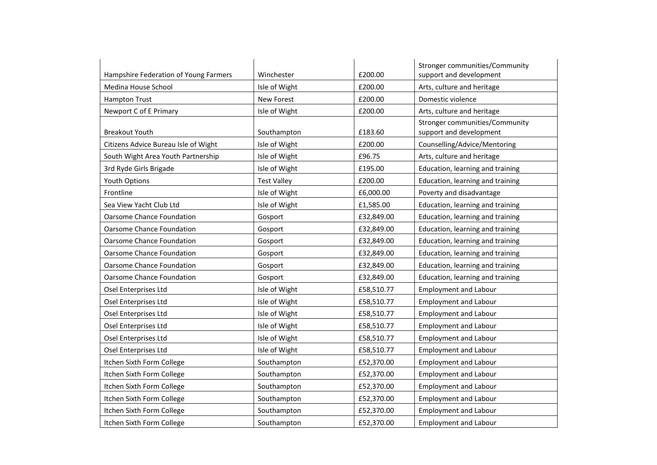|                                       |                    |            | Stronger communities/Community                            |
|---------------------------------------|--------------------|------------|-----------------------------------------------------------|
| Hampshire Federation of Young Farmers | Winchester         | £200.00    | support and development                                   |
| Medina House School                   | Isle of Wight      | £200.00    | Arts, culture and heritage                                |
| <b>Hampton Trust</b>                  | <b>New Forest</b>  | £200.00    | Domestic violence                                         |
| Newport C of E Primary                | Isle of Wight      | £200.00    | Arts, culture and heritage                                |
| <b>Breakout Youth</b>                 | Southampton        | £183.60    | Stronger communities/Community<br>support and development |
| Citizens Advice Bureau Isle of Wight  | Isle of Wight      | £200.00    | Counselling/Advice/Mentoring                              |
| South Wight Area Youth Partnership    | Isle of Wight      | £96.75     | Arts, culture and heritage                                |
| 3rd Ryde Girls Brigade                | Isle of Wight      | £195.00    | Education, learning and training                          |
| <b>Youth Options</b>                  | <b>Test Valley</b> | £200.00    | Education, learning and training                          |
| Frontline                             | Isle of Wight      | £6,000.00  | Poverty and disadvantage                                  |
| Sea View Yacht Club Ltd               | Isle of Wight      | £1,585.00  | Education, learning and training                          |
| <b>Oarsome Chance Foundation</b>      | Gosport            | £32,849.00 | Education, learning and training                          |
| <b>Oarsome Chance Foundation</b>      | Gosport            | £32,849.00 | Education, learning and training                          |
| Oarsome Chance Foundation             | Gosport            | £32,849.00 | Education, learning and training                          |
| <b>Oarsome Chance Foundation</b>      | Gosport            | £32,849.00 | Education, learning and training                          |
| <b>Oarsome Chance Foundation</b>      | Gosport            | £32,849.00 | Education, learning and training                          |
| <b>Oarsome Chance Foundation</b>      | Gosport            | £32,849.00 | Education, learning and training                          |
| Osel Enterprises Ltd                  | Isle of Wight      | £58,510.77 | <b>Employment and Labour</b>                              |
| Osel Enterprises Ltd                  | Isle of Wight      | £58,510.77 | <b>Employment and Labour</b>                              |
| Osel Enterprises Ltd                  | Isle of Wight      | £58,510.77 | <b>Employment and Labour</b>                              |
| Osel Enterprises Ltd                  | Isle of Wight      | £58,510.77 | <b>Employment and Labour</b>                              |
| Osel Enterprises Ltd                  | Isle of Wight      | £58,510.77 | <b>Employment and Labour</b>                              |
| Osel Enterprises Ltd                  | Isle of Wight      | £58,510.77 | <b>Employment and Labour</b>                              |
| Itchen Sixth Form College             | Southampton        | £52,370.00 | <b>Employment and Labour</b>                              |
| Itchen Sixth Form College             | Southampton        | £52,370.00 | <b>Employment and Labour</b>                              |
| Itchen Sixth Form College             | Southampton        | £52,370.00 | <b>Employment and Labour</b>                              |
| Itchen Sixth Form College             | Southampton        | £52,370.00 | <b>Employment and Labour</b>                              |
| Itchen Sixth Form College             | Southampton        | £52,370.00 | <b>Employment and Labour</b>                              |
| Itchen Sixth Form College             | Southampton        | £52,370.00 | <b>Employment and Labour</b>                              |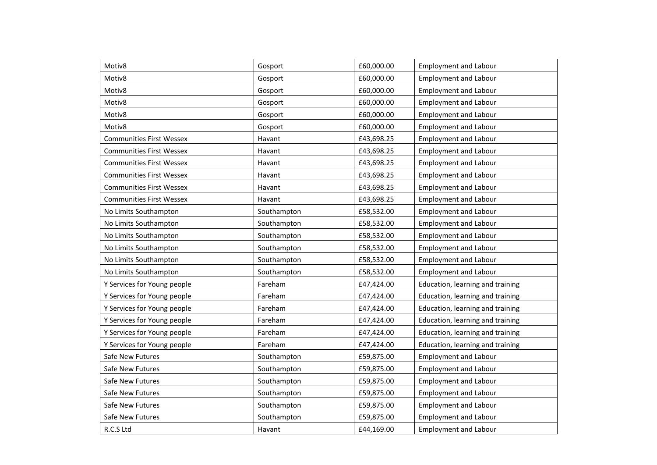| Motiv8                          | Gosport     | £60,000.00 | <b>Employment and Labour</b>     |
|---------------------------------|-------------|------------|----------------------------------|
| Motiv8                          | Gosport     | £60,000.00 | <b>Employment and Labour</b>     |
| Motiv8                          | Gosport     | £60,000.00 | <b>Employment and Labour</b>     |
| Motiv8                          | Gosport     | £60,000.00 | <b>Employment and Labour</b>     |
| Motiv8                          | Gosport     | £60,000.00 | <b>Employment and Labour</b>     |
| Motiv8                          | Gosport     | £60,000.00 | <b>Employment and Labour</b>     |
| <b>Communities First Wessex</b> | Havant      | £43,698.25 | <b>Employment and Labour</b>     |
| <b>Communities First Wessex</b> | Havant      | £43,698.25 | <b>Employment and Labour</b>     |
| <b>Communities First Wessex</b> | Havant      | £43,698.25 | <b>Employment and Labour</b>     |
| <b>Communities First Wessex</b> | Havant      | £43,698.25 | <b>Employment and Labour</b>     |
| <b>Communities First Wessex</b> | Havant      | £43,698.25 | <b>Employment and Labour</b>     |
| <b>Communities First Wessex</b> | Havant      | £43,698.25 | <b>Employment and Labour</b>     |
| No Limits Southampton           | Southampton | £58,532.00 | <b>Employment and Labour</b>     |
| No Limits Southampton           | Southampton | £58,532.00 | <b>Employment and Labour</b>     |
| No Limits Southampton           | Southampton | £58,532.00 | <b>Employment and Labour</b>     |
| No Limits Southampton           | Southampton | £58,532.00 | <b>Employment and Labour</b>     |
| No Limits Southampton           | Southampton | £58,532.00 | <b>Employment and Labour</b>     |
| No Limits Southampton           | Southampton | £58,532.00 | <b>Employment and Labour</b>     |
| Y Services for Young people     | Fareham     | £47,424.00 | Education, learning and training |
| Y Services for Young people     | Fareham     | £47,424.00 | Education, learning and training |
| Y Services for Young people     | Fareham     | £47,424.00 | Education, learning and training |
| Y Services for Young people     | Fareham     | £47,424.00 | Education, learning and training |
| Y Services for Young people     | Fareham     | £47,424.00 | Education, learning and training |
| Y Services for Young people     | Fareham     | £47,424.00 | Education, learning and training |
| Safe New Futures                | Southampton | £59,875.00 | <b>Employment and Labour</b>     |
| Safe New Futures                | Southampton | £59,875.00 | <b>Employment and Labour</b>     |
| Safe New Futures                | Southampton | £59,875.00 | <b>Employment and Labour</b>     |
| Safe New Futures                | Southampton | £59,875.00 | <b>Employment and Labour</b>     |
| Safe New Futures                | Southampton | £59,875.00 | <b>Employment and Labour</b>     |
| Safe New Futures                | Southampton | £59,875.00 | <b>Employment and Labour</b>     |
| R.C.S Ltd                       | Havant      | £44,169.00 | <b>Employment and Labour</b>     |
|                                 |             |            |                                  |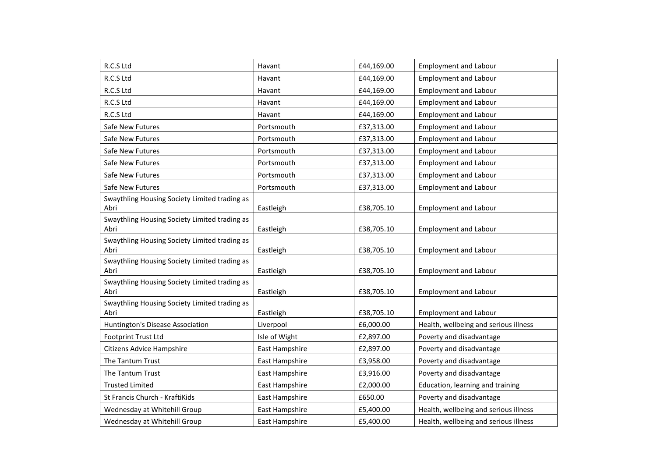| R.C.S Ltd                                             | Havant         | £44,169.00 | <b>Employment and Labour</b>          |
|-------------------------------------------------------|----------------|------------|---------------------------------------|
| R.C.S Ltd                                             | Havant         | £44,169.00 | <b>Employment and Labour</b>          |
| R.C.S Ltd                                             | Havant         | £44,169.00 | <b>Employment and Labour</b>          |
| R.C.S Ltd                                             | Havant         | £44,169.00 | <b>Employment and Labour</b>          |
| R.C.S Ltd                                             | Havant         | £44,169.00 | <b>Employment and Labour</b>          |
| Safe New Futures                                      | Portsmouth     | £37,313.00 | <b>Employment and Labour</b>          |
| Safe New Futures                                      | Portsmouth     | £37,313.00 | <b>Employment and Labour</b>          |
| Safe New Futures                                      | Portsmouth     | £37,313.00 | <b>Employment and Labour</b>          |
| Safe New Futures                                      | Portsmouth     | £37,313.00 | <b>Employment and Labour</b>          |
| Safe New Futures                                      | Portsmouth     | £37,313.00 | <b>Employment and Labour</b>          |
| Safe New Futures                                      | Portsmouth     | £37,313.00 | <b>Employment and Labour</b>          |
| Swaythling Housing Society Limited trading as<br>Abri | Eastleigh      | £38,705.10 | <b>Employment and Labour</b>          |
| Swaythling Housing Society Limited trading as<br>Abri | Eastleigh      | £38,705.10 | <b>Employment and Labour</b>          |
| Swaythling Housing Society Limited trading as<br>Abri | Eastleigh      | £38,705.10 | <b>Employment and Labour</b>          |
| Swaythling Housing Society Limited trading as<br>Abri | Eastleigh      | £38,705.10 | <b>Employment and Labour</b>          |
| Swaythling Housing Society Limited trading as<br>Abri | Eastleigh      | £38,705.10 | <b>Employment and Labour</b>          |
| Swaythling Housing Society Limited trading as<br>Abri |                |            | <b>Employment and Labour</b>          |
| Huntington's Disease Association                      | Liverpool      | £6,000.00  | Health, wellbeing and serious illness |
| <b>Footprint Trust Ltd</b>                            | Isle of Wight  | £2,897.00  | Poverty and disadvantage              |
| Citizens Advice Hampshire                             | East Hampshire | £2,897.00  | Poverty and disadvantage              |
| The Tantum Trust                                      | East Hampshire | £3,958.00  | Poverty and disadvantage              |
| The Tantum Trust                                      | East Hampshire | £3,916.00  | Poverty and disadvantage              |
| <b>Trusted Limited</b>                                | East Hampshire | £2,000.00  | Education, learning and training      |
| St Francis Church - KraftiKids                        | East Hampshire | £650.00    | Poverty and disadvantage              |
| Wednesday at Whitehill Group                          | East Hampshire | £5,400.00  | Health, wellbeing and serious illness |
| Wednesday at Whitehill Group                          | East Hampshire | £5,400.00  | Health, wellbeing and serious illness |
|                                                       |                | Eastleigh  | £38,705.10                            |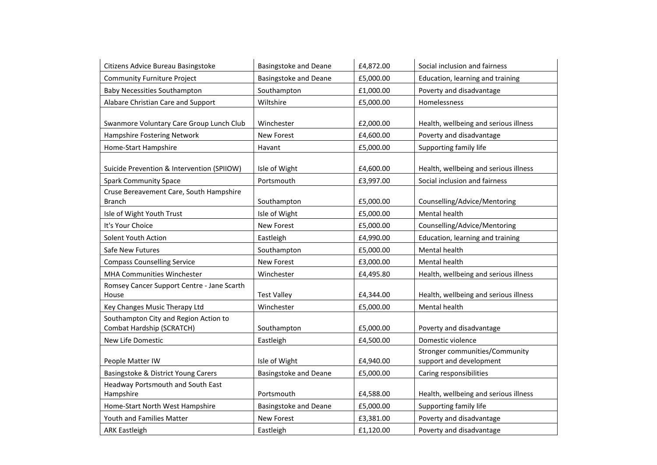| Citizens Advice Bureau Basingstoke         | <b>Basingstoke and Deane</b> | £4,872.00 | Social inclusion and fairness         |
|--------------------------------------------|------------------------------|-----------|---------------------------------------|
| <b>Community Furniture Project</b>         | <b>Basingstoke and Deane</b> | £5,000.00 | Education, learning and training      |
| <b>Baby Necessities Southampton</b>        | Southampton                  | £1,000.00 | Poverty and disadvantage              |
| Alabare Christian Care and Support         | Wiltshire                    | £5,000.00 | Homelessness                          |
|                                            |                              |           |                                       |
| Swanmore Voluntary Care Group Lunch Club   | Winchester                   | £2,000.00 | Health, wellbeing and serious illness |
| Hampshire Fostering Network                | <b>New Forest</b>            | £4,600.00 | Poverty and disadvantage              |
| Home-Start Hampshire                       | Havant                       | £5,000.00 | Supporting family life                |
|                                            |                              |           |                                       |
| Suicide Prevention & Intervention (SPIIOW) | Isle of Wight                | £4,600.00 | Health, wellbeing and serious illness |
| <b>Spark Community Space</b>               | Portsmouth                   | £3,997.00 | Social inclusion and fairness         |
| Cruse Bereavement Care, South Hampshire    |                              |           |                                       |
| <b>Branch</b>                              | Southampton                  | £5,000.00 | Counselling/Advice/Mentoring          |
| Isle of Wight Youth Trust                  | Isle of Wight                | £5,000.00 | Mental health                         |
| It's Your Choice                           | New Forest                   | £5,000.00 | Counselling/Advice/Mentoring          |
| Solent Youth Action                        | Eastleigh                    | £4,990.00 | Education, learning and training      |
| Safe New Futures                           | Southampton                  | £5,000.00 | Mental health                         |
| <b>Compass Counselling Service</b>         | New Forest                   | £3,000.00 | Mental health                         |
| MHA Communities Winchester                 | Winchester                   | £4,495.80 | Health, wellbeing and serious illness |
| Romsey Cancer Support Centre - Jane Scarth |                              |           |                                       |
| House                                      | <b>Test Valley</b>           | £4,344.00 | Health, wellbeing and serious illness |
| Key Changes Music Therapy Ltd              | Winchester                   | £5,000.00 | Mental health                         |
| Southampton City and Region Action to      |                              |           |                                       |
| Combat Hardship (SCRATCH)                  | Southampton                  | £5,000.00 | Poverty and disadvantage              |
| New Life Domestic                          | Eastleigh                    | £4,500.00 | Domestic violence                     |
|                                            |                              |           | Stronger communities/Community        |
| People Matter IW                           | Isle of Wight                | £4,940.00 | support and development               |
| Basingstoke & District Young Carers        | <b>Basingstoke and Deane</b> | £5,000.00 | Caring responsibilities               |
| Headway Portsmouth and South East          |                              |           |                                       |
| Hampshire                                  | Portsmouth                   | £4,588.00 | Health, wellbeing and serious illness |
| Home-Start North West Hampshire            | <b>Basingstoke and Deane</b> | £5,000.00 | Supporting family life                |
| Youth and Families Matter                  | <b>New Forest</b>            | £3,381.00 | Poverty and disadvantage              |
| <b>ARK Eastleigh</b>                       | Eastleigh                    | £1,120.00 | Poverty and disadvantage              |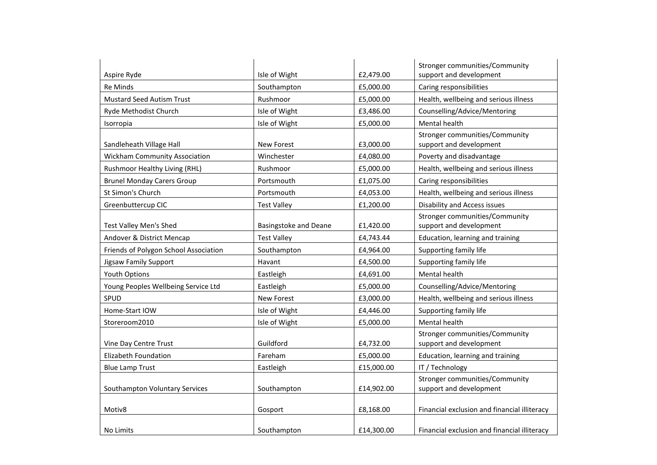|                                       |                       |            | Stronger communities/Community                            |
|---------------------------------------|-----------------------|------------|-----------------------------------------------------------|
| Aspire Ryde                           | Isle of Wight         | £2,479.00  | support and development                                   |
| <b>Re Minds</b>                       | Southampton           | £5,000.00  | Caring responsibilities                                   |
| <b>Mustard Seed Autism Trust</b>      | Rushmoor              | £5,000.00  | Health, wellbeing and serious illness                     |
| Ryde Methodist Church                 | Isle of Wight         | £3,486.00  | Counselling/Advice/Mentoring                              |
| Isorropia                             | Isle of Wight         | £5,000.00  | Mental health                                             |
| Sandleheath Village Hall              | New Forest            | £3,000.00  | Stronger communities/Community<br>support and development |
| <b>Wickham Community Association</b>  | Winchester            | £4,080.00  | Poverty and disadvantage                                  |
| Rushmoor Healthy Living (RHL)         | Rushmoor              | £5,000.00  | Health, wellbeing and serious illness                     |
| <b>Brunel Monday Carers Group</b>     | Portsmouth            | £1,075.00  | Caring responsibilities                                   |
| St Simon's Church                     | Portsmouth            | £4,053.00  | Health, wellbeing and serious illness                     |
| Greenbuttercup CIC                    | <b>Test Valley</b>    | £1,200.00  | <b>Disability and Access issues</b>                       |
| Test Valley Men's Shed                | Basingstoke and Deane | £1,420.00  | Stronger communities/Community<br>support and development |
| Andover & District Mencap             | <b>Test Valley</b>    | £4,743.44  | Education, learning and training                          |
| Friends of Polygon School Association | Southampton           | £4,964.00  | Supporting family life                                    |
| Jigsaw Family Support                 | Havant                | £4,500.00  | Supporting family life                                    |
| Youth Options                         | Eastleigh             | £4,691.00  | Mental health                                             |
| Young Peoples Wellbeing Service Ltd   | Eastleigh             | £5,000.00  | Counselling/Advice/Mentoring                              |
| SPUD                                  | <b>New Forest</b>     | £3,000.00  | Health, wellbeing and serious illness                     |
| Home-Start IOW                        | Isle of Wight         | £4,446.00  | Supporting family life                                    |
| Storeroom2010                         | Isle of Wight         | £5,000.00  | Mental health                                             |
| Vine Day Centre Trust                 | Guildford             | £4,732.00  | Stronger communities/Community<br>support and development |
| <b>Elizabeth Foundation</b>           | Fareham               | £5,000.00  | Education, learning and training                          |
| <b>Blue Lamp Trust</b>                | Eastleigh             | £15,000.00 | IT / Technology                                           |
| Southampton Voluntary Services        | Southampton           | £14,902.00 | Stronger communities/Community<br>support and development |
| Motiv8                                | Gosport               | £8,168.00  | Financial exclusion and financial illiteracy              |
| No Limits                             | Southampton           | £14.300.00 | Financial exclusion and financial illiteracy              |